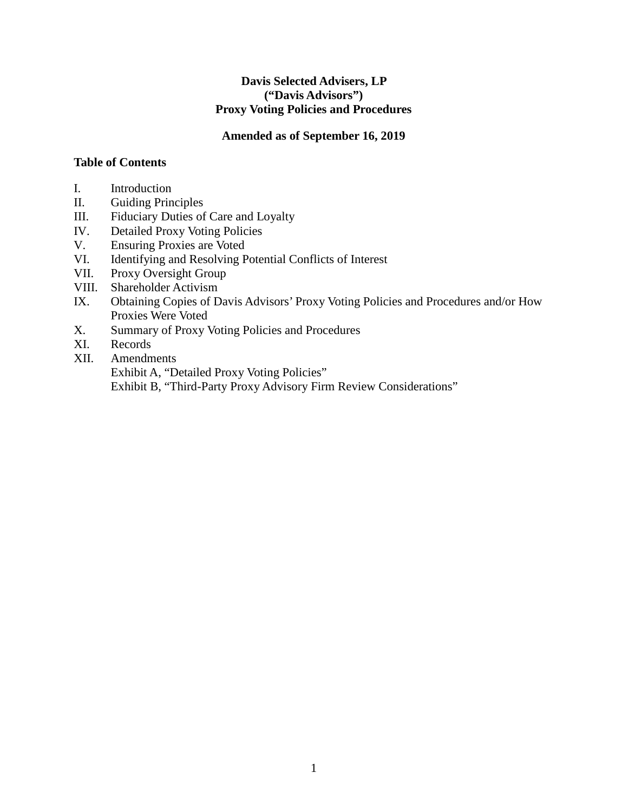#### **Davis Selected Advisers, LP ("Davis Advisors") Proxy Voting Policies and Procedures**

#### **Amended as of September 16, 2019**

#### **Table of Contents**

- I. Introduction
- II. Guiding Principles
- III. Fiduciary Duties of Care and Loyalty
- IV. Detailed Proxy Voting Policies
- V. Ensuring Proxies are Voted
- VI. Identifying and Resolving Potential Conflicts of Interest
- VII. Proxy Oversight Group
- VIII. Shareholder Activism
- IX. Obtaining Copies of Davis Advisors' Proxy Voting Policies and Procedures and/or How Proxies Were Voted
- X. Summary of Proxy Voting Policies and Procedures
- XI. Records
- XII. Amendments

Exhibit A, "Detailed Proxy Voting Policies"

Exhibit B, "Third-Party Proxy Advisory Firm Review Considerations"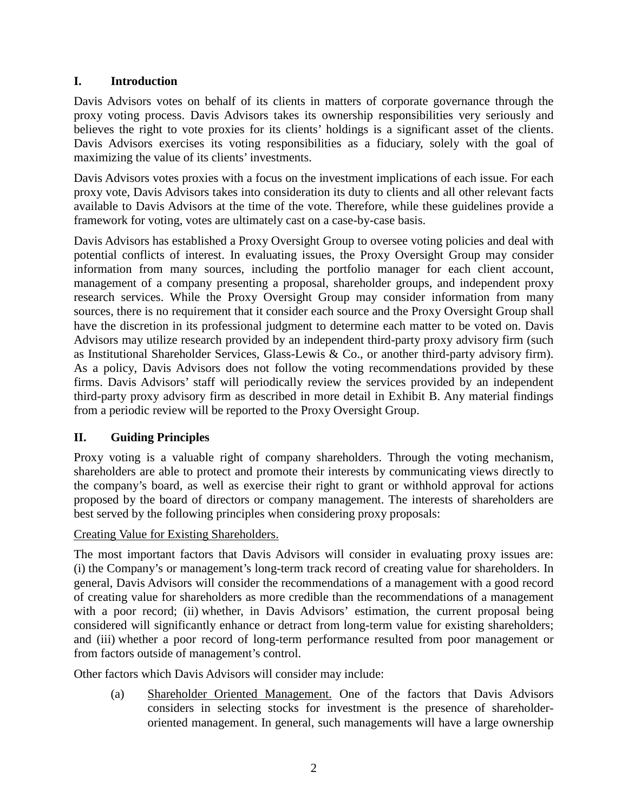### **I. Introduction**

Davis Advisors votes on behalf of its clients in matters of corporate governance through the proxy voting process. Davis Advisors takes its ownership responsibilities very seriously and believes the right to vote proxies for its clients' holdings is a significant asset of the clients. Davis Advisors exercises its voting responsibilities as a fiduciary, solely with the goal of maximizing the value of its clients' investments.

Davis Advisors votes proxies with a focus on the investment implications of each issue. For each proxy vote, Davis Advisors takes into consideration its duty to clients and all other relevant facts available to Davis Advisors at the time of the vote. Therefore, while these guidelines provide a framework for voting, votes are ultimately cast on a case-by-case basis.

Davis Advisors has established a Proxy Oversight Group to oversee voting policies and deal with potential conflicts of interest. In evaluating issues, the Proxy Oversight Group may consider information from many sources, including the portfolio manager for each client account, management of a company presenting a proposal, shareholder groups, and independent proxy research services. While the Proxy Oversight Group may consider information from many sources, there is no requirement that it consider each source and the Proxy Oversight Group shall have the discretion in its professional judgment to determine each matter to be voted on. Davis Advisors may utilize research provided by an independent third-party proxy advisory firm (such as Institutional Shareholder Services, Glass-Lewis & Co., or another third-party advisory firm). As a policy, Davis Advisors does not follow the voting recommendations provided by these firms. Davis Advisors' staff will periodically review the services provided by an independent third-party proxy advisory firm as described in more detail in Exhibit B. Any material findings from a periodic review will be reported to the Proxy Oversight Group.

# **II. Guiding Principles**

Proxy voting is a valuable right of company shareholders. Through the voting mechanism, shareholders are able to protect and promote their interests by communicating views directly to the company's board, as well as exercise their right to grant or withhold approval for actions proposed by the board of directors or company management. The interests of shareholders are best served by the following principles when considering proxy proposals:

Creating Value for Existing Shareholders.

The most important factors that Davis Advisors will consider in evaluating proxy issues are: (i) the Company's or management's long-term track record of creating value for shareholders. In general, Davis Advisors will consider the recommendations of a management with a good record of creating value for shareholders as more credible than the recommendations of a management with a poor record; (ii) whether, in Davis Advisors' estimation, the current proposal being considered will significantly enhance or detract from long-term value for existing shareholders; and (iii) whether a poor record of long-term performance resulted from poor management or from factors outside of management's control.

Other factors which Davis Advisors will consider may include:

(a) Shareholder Oriented Management. One of the factors that Davis Advisors considers in selecting stocks for investment is the presence of shareholderoriented management. In general, such managements will have a large ownership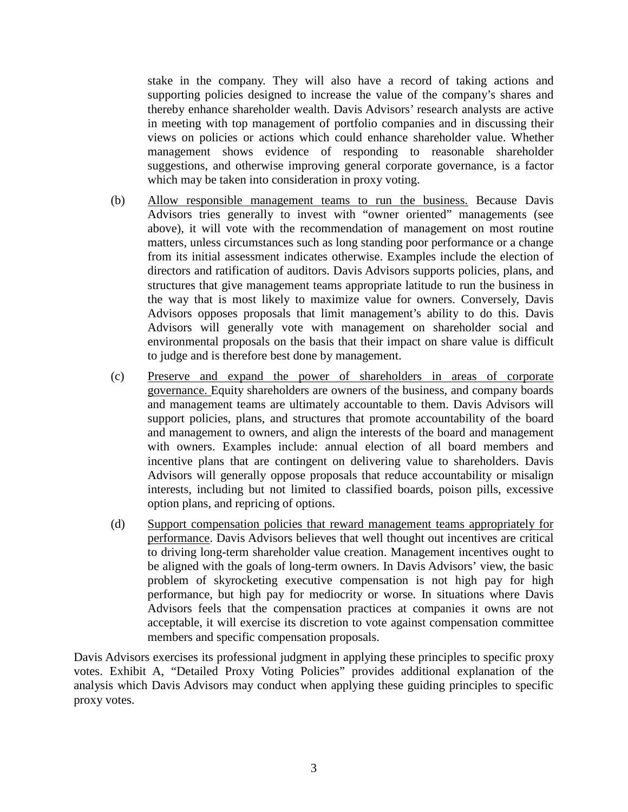stake in the company. They will also have a record of taking actions and supporting policies designed to increase the value of the company's shares and thereby enhance shareholder wealth. Davis Advisors' research analysts are active in meeting with top management of portfolio companies and in discussing their views on policies or actions which could enhance shareholder value. Whether management shows evidence of responding to reasonable shareholder suggestions, and otherwise improving general corporate governance, is a factor which may be taken into consideration in proxy voting.

- (b) Allow responsible management teams to run the business. Because Davis Advisors tries generally to invest with "owner oriented" managements (see above), it will vote with the recommendation of management on most routine matters, unless circumstances such as long standing poor performance or a change from its initial assessment indicates otherwise. Examples include the election of directors and ratification of auditors. Davis Advisors supports policies, plans, and structures that give management teams appropriate latitude to run the business in the way that is most likely to maximize value for owners. Conversely, Davis Advisors opposes proposals that limit management's ability to do this. Davis Advisors will generally vote with management on shareholder social and environmental proposals on the basis that their impact on share value is difficult to judge and is therefore best done by management.
- (c) Preserve and expand the power of shareholders in areas of corporate governance. Equity shareholders are owners of the business, and company boards and management teams are ultimately accountable to them. Davis Advisors will support policies, plans, and structures that promote accountability of the board and management to owners, and align the interests of the board and management with owners. Examples include: annual election of all board members and incentive plans that are contingent on delivering value to shareholders. Davis Advisors will generally oppose proposals that reduce accountability or misalign interests, including but not limited to classified boards, poison pills, excessive option plans, and repricing of options.
- (d) Support compensation policies that reward management teams appropriately for performance. Davis Advisors believes that well thought out incentives are critical to driving long-term shareholder value creation. Management incentives ought to be aligned with the goals of long-term owners. In Davis Advisors' view, the basic problem of skyrocketing executive compensation is not high pay for high performance, but high pay for mediocrity or worse. In situations where Davis Advisors feels that the compensation practices at companies it owns are not acceptable, it will exercise its discretion to vote against compensation committee members and specific compensation proposals.

Davis Advisors exercises its professional judgment in applying these principles to specific proxy votes. Exhibit A, "Detailed Proxy Voting Policies" provides additional explanation of the analysis which Davis Advisors may conduct when applying these guiding principles to specific proxy votes.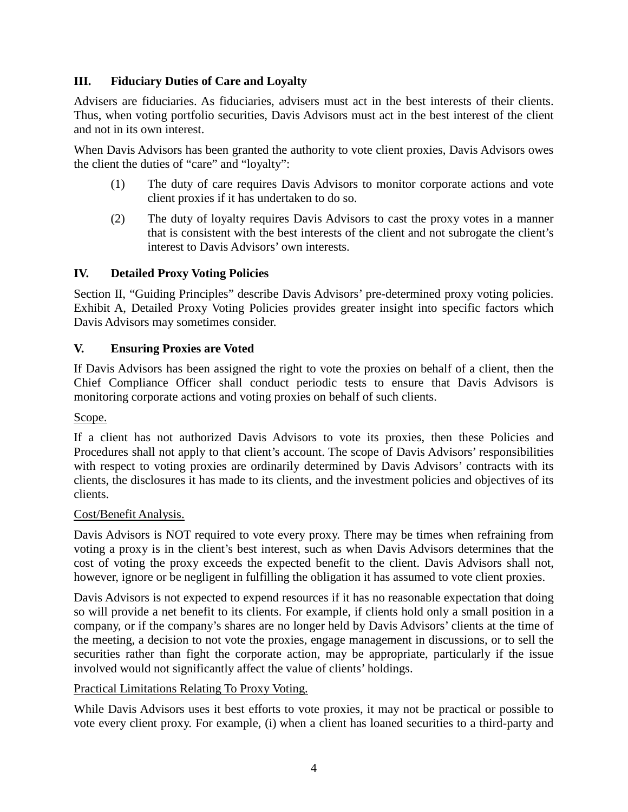#### **III. Fiduciary Duties of Care and Loyalty**

Advisers are fiduciaries. As fiduciaries, advisers must act in the best interests of their clients. Thus, when voting portfolio securities, Davis Advisors must act in the best interest of the client and not in its own interest.

When Davis Advisors has been granted the authority to vote client proxies, Davis Advisors owes the client the duties of "care" and "loyalty":

- (1) The duty of care requires Davis Advisors to monitor corporate actions and vote client proxies if it has undertaken to do so.
- (2) The duty of loyalty requires Davis Advisors to cast the proxy votes in a manner that is consistent with the best interests of the client and not subrogate the client's interest to Davis Advisors' own interests.

### **IV. Detailed Proxy Voting Policies**

Section II, "Guiding Principles" describe Davis Advisors' pre-determined proxy voting policies. Exhibit A, Detailed Proxy Voting Policies provides greater insight into specific factors which Davis Advisors may sometimes consider.

#### **V. Ensuring Proxies are Voted**

If Davis Advisors has been assigned the right to vote the proxies on behalf of a client, then the Chief Compliance Officer shall conduct periodic tests to ensure that Davis Advisors is monitoring corporate actions and voting proxies on behalf of such clients.

Scope.

If a client has not authorized Davis Advisors to vote its proxies, then these Policies and Procedures shall not apply to that client's account. The scope of Davis Advisors' responsibilities with respect to voting proxies are ordinarily determined by Davis Advisors' contracts with its clients, the disclosures it has made to its clients, and the investment policies and objectives of its clients.

#### Cost/Benefit Analysis.

Davis Advisors is NOT required to vote every proxy. There may be times when refraining from voting a proxy is in the client's best interest, such as when Davis Advisors determines that the cost of voting the proxy exceeds the expected benefit to the client. Davis Advisors shall not, however, ignore or be negligent in fulfilling the obligation it has assumed to vote client proxies.

Davis Advisors is not expected to expend resources if it has no reasonable expectation that doing so will provide a net benefit to its clients. For example, if clients hold only a small position in a company, or if the company's shares are no longer held by Davis Advisors' clients at the time of the meeting, a decision to not vote the proxies, engage management in discussions, or to sell the securities rather than fight the corporate action, may be appropriate, particularly if the issue involved would not significantly affect the value of clients' holdings.

#### Practical Limitations Relating To Proxy Voting.

While Davis Advisors uses it best efforts to vote proxies, it may not be practical or possible to vote every client proxy. For example, (i) when a client has loaned securities to a third-party and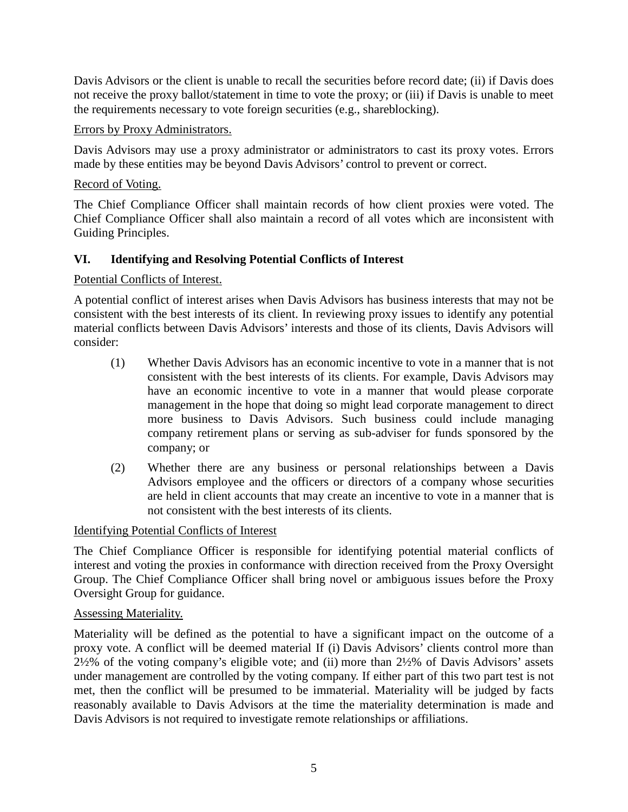Davis Advisors or the client is unable to recall the securities before record date; (ii) if Davis does not receive the proxy ballot/statement in time to vote the proxy; or (iii) if Davis is unable to meet the requirements necessary to vote foreign securities (e.g., shareblocking).

#### Errors by Proxy Administrators.

Davis Advisors may use a proxy administrator or administrators to cast its proxy votes. Errors made by these entities may be beyond Davis Advisors' control to prevent or correct.

### Record of Voting.

The Chief Compliance Officer shall maintain records of how client proxies were voted. The Chief Compliance Officer shall also maintain a record of all votes which are inconsistent with Guiding Principles.

# **VI. Identifying and Resolving Potential Conflicts of Interest**

### Potential Conflicts of Interest.

A potential conflict of interest arises when Davis Advisors has business interests that may not be consistent with the best interests of its client. In reviewing proxy issues to identify any potential material conflicts between Davis Advisors' interests and those of its clients, Davis Advisors will consider:

- (1) Whether Davis Advisors has an economic incentive to vote in a manner that is not consistent with the best interests of its clients. For example, Davis Advisors may have an economic incentive to vote in a manner that would please corporate management in the hope that doing so might lead corporate management to direct more business to Davis Advisors. Such business could include managing company retirement plans or serving as sub-adviser for funds sponsored by the company; or
- (2) Whether there are any business or personal relationships between a Davis Advisors employee and the officers or directors of a company whose securities are held in client accounts that may create an incentive to vote in a manner that is not consistent with the best interests of its clients.

#### Identifying Potential Conflicts of Interest

The Chief Compliance Officer is responsible for identifying potential material conflicts of interest and voting the proxies in conformance with direction received from the Proxy Oversight Group. The Chief Compliance Officer shall bring novel or ambiguous issues before the Proxy Oversight Group for guidance.

#### Assessing Materiality.

Materiality will be defined as the potential to have a significant impact on the outcome of a proxy vote. A conflict will be deemed material If (i) Davis Advisors' clients control more than 2½% of the voting company's eligible vote; and (ii) more than 2½% of Davis Advisors' assets under management are controlled by the voting company. If either part of this two part test is not met, then the conflict will be presumed to be immaterial. Materiality will be judged by facts reasonably available to Davis Advisors at the time the materiality determination is made and Davis Advisors is not required to investigate remote relationships or affiliations.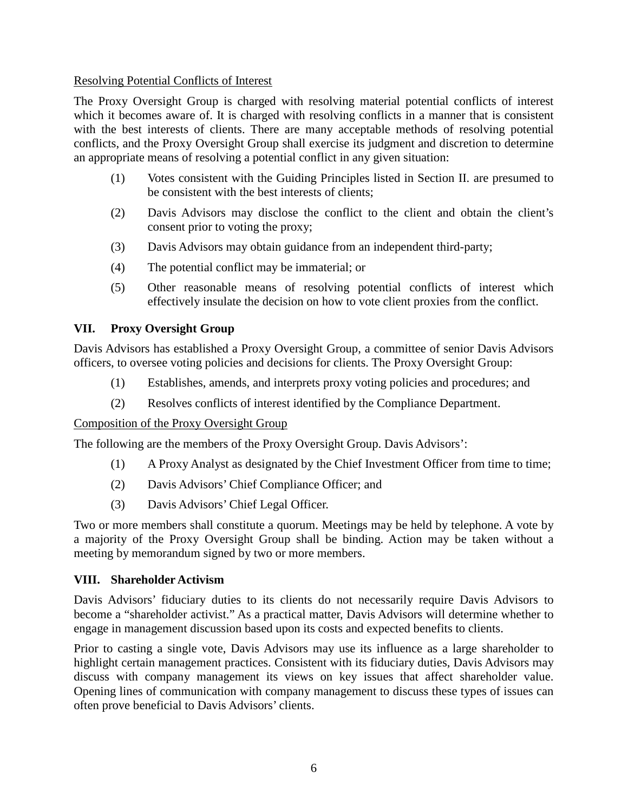#### Resolving Potential Conflicts of Interest

The Proxy Oversight Group is charged with resolving material potential conflicts of interest which it becomes aware of. It is charged with resolving conflicts in a manner that is consistent with the best interests of clients. There are many acceptable methods of resolving potential conflicts, and the Proxy Oversight Group shall exercise its judgment and discretion to determine an appropriate means of resolving a potential conflict in any given situation:

- (1) Votes consistent with the Guiding Principles listed in Section II. are presumed to be consistent with the best interests of clients;
- (2) Davis Advisors may disclose the conflict to the client and obtain the client's consent prior to voting the proxy;
- (3) Davis Advisors may obtain guidance from an independent third-party;
- (4) The potential conflict may be immaterial; or
- (5) Other reasonable means of resolving potential conflicts of interest which effectively insulate the decision on how to vote client proxies from the conflict.

#### **VII. Proxy Oversight Group**

Davis Advisors has established a Proxy Oversight Group, a committee of senior Davis Advisors officers, to oversee voting policies and decisions for clients. The Proxy Oversight Group:

- (1) Establishes, amends, and interprets proxy voting policies and procedures; and
- (2) Resolves conflicts of interest identified by the Compliance Department.

#### Composition of the Proxy Oversight Group

The following are the members of the Proxy Oversight Group. Davis Advisors':

- (1) A Proxy Analyst as designated by the Chief Investment Officer from time to time;
- (2) Davis Advisors' Chief Compliance Officer; and
- (3) Davis Advisors' Chief Legal Officer.

Two or more members shall constitute a quorum. Meetings may be held by telephone. A vote by a majority of the Proxy Oversight Group shall be binding. Action may be taken without a meeting by memorandum signed by two or more members.

#### **VIII. Shareholder Activism**

Davis Advisors' fiduciary duties to its clients do not necessarily require Davis Advisors to become a "shareholder activist." As a practical matter, Davis Advisors will determine whether to engage in management discussion based upon its costs and expected benefits to clients.

Prior to casting a single vote, Davis Advisors may use its influence as a large shareholder to highlight certain management practices. Consistent with its fiduciary duties, Davis Advisors may discuss with company management its views on key issues that affect shareholder value. Opening lines of communication with company management to discuss these types of issues can often prove beneficial to Davis Advisors' clients.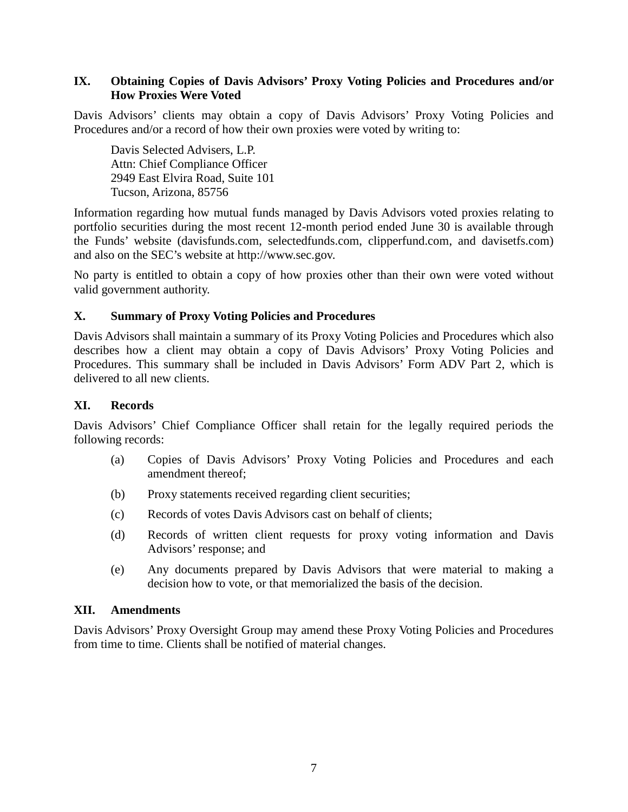#### **IX. Obtaining Copies of Davis Advisors' Proxy Voting Policies and Procedures and/or How Proxies Were Voted**

Davis Advisors' clients may obtain a copy of Davis Advisors' Proxy Voting Policies and Procedures and/or a record of how their own proxies were voted by writing to:

Davis Selected Advisers, L.P. Attn: Chief Compliance Officer 2949 East Elvira Road, Suite 101 Tucson, Arizona, 85756

Information regarding how mutual funds managed by Davis Advisors voted proxies relating to portfolio securities during the most recent 12-month period ended June 30 is available through the Funds' website (davisfunds.com, selectedfunds.com, [clipperfund.com,](file://jasper/legal/_Legal/Corporate/Board%20of%20Directors-Joint/2019/12%202019/Procedures/clipperfund.com) and davisetfs.com) and also on the SEC's website at http://www.sec.gov.

No party is entitled to obtain a copy of how proxies other than their own were voted without valid government authority.

#### **X. Summary of Proxy Voting Policies and Procedures**

Davis Advisors shall maintain a summary of its Proxy Voting Policies and Procedures which also describes how a client may obtain a copy of Davis Advisors' Proxy Voting Policies and Procedures. This summary shall be included in Davis Advisors' Form ADV Part 2, which is delivered to all new clients.

#### **XI. Records**

Davis Advisors' Chief Compliance Officer shall retain for the legally required periods the following records:

- (a) Copies of Davis Advisors' Proxy Voting Policies and Procedures and each amendment thereof;
- (b) Proxy statements received regarding client securities;
- (c) Records of votes Davis Advisors cast on behalf of clients;
- (d) Records of written client requests for proxy voting information and Davis Advisors' response; and
- (e) Any documents prepared by Davis Advisors that were material to making a decision how to vote, or that memorialized the basis of the decision.

#### **XII. Amendments**

Davis Advisors' Proxy Oversight Group may amend these Proxy Voting Policies and Procedures from time to time. Clients shall be notified of material changes.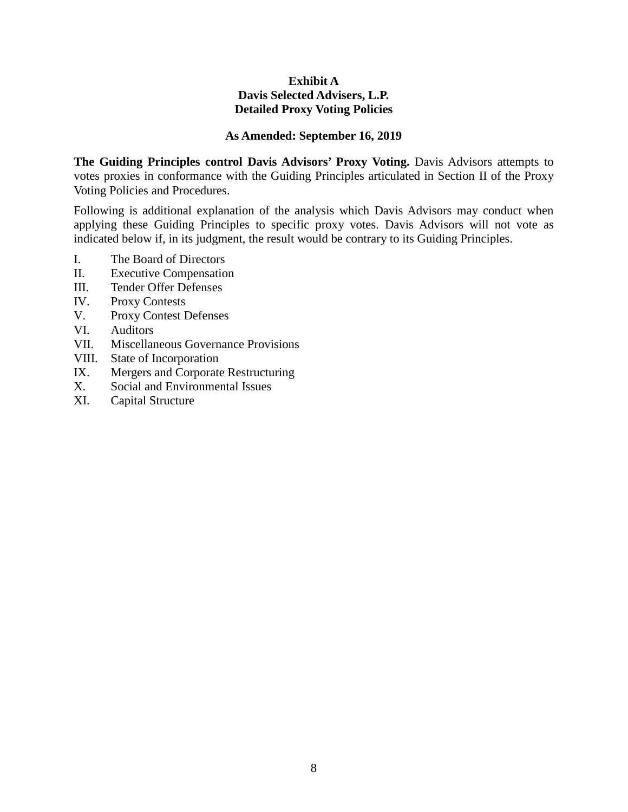#### **Exhibit A Davis Selected Advisers, L.P. Detailed Proxy Voting Policies**

#### **As Amended: September 16, 2019**

The Guiding Principles control Davis Advisors' Proxy Voting. Davis Advisors attempts to votes proxies in conformance with the Guiding Principles articulated in Section II of the Proxy Voting Policies and Procedures.

Following is additional explanation of the analysis which Davis Advisors may conduct when applying these Guiding Principles to specific proxy votes. Davis Advisors will not vote as indicated below if, in its judgment, the result would be contrary to its Guiding Principles.

- I. The Board of Directors
- II. Executive Compensation
- III. Tender Offer Defenses
- IV. Proxy Contests
- V. Proxy Contest Defenses
- VI. Auditors
- VII. Miscellaneous Governance Provisions
- VIII. State of Incorporation
- IX. Mergers and Corporate Restructuring
- X. Social and Environmental Issues
- XI. Capital Structure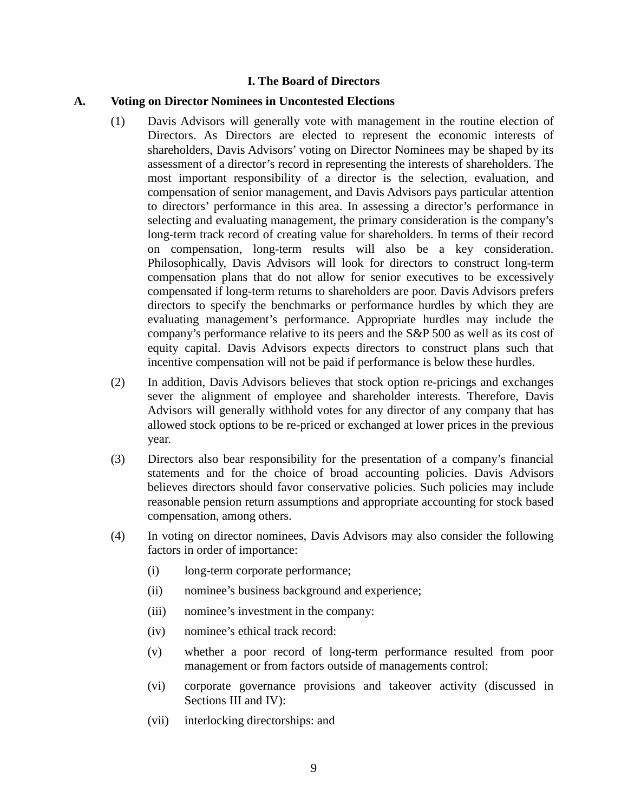#### **I. The Board of Directors**

#### **A. Voting on Director Nominees in Uncontested Elections**

- (1) Davis Advisors will generally vote with management in the routine election of Directors. As Directors are elected to represent the economic interests of shareholders, Davis Advisors' voting on Director Nominees may be shaped by its assessment of a director's record in representing the interests of shareholders. The most important responsibility of a director is the selection, evaluation, and compensation of senior management, and Davis Advisors pays particular attention to directors' performance in this area. In assessing a director's performance in selecting and evaluating management, the primary consideration is the company's long-term track record of creating value for shareholders. In terms of their record on compensation, long-term results will also be a key consideration. Philosophically, Davis Advisors will look for directors to construct long-term compensation plans that do not allow for senior executives to be excessively compensated if long-term returns to shareholders are poor. Davis Advisors prefers directors to specify the benchmarks or performance hurdles by which they are evaluating management's performance. Appropriate hurdles may include the company's performance relative to its peers and the S&P 500 as well as its cost of equity capital. Davis Advisors expects directors to construct plans such that incentive compensation will not be paid if performance is below these hurdles.
- (2) In addition, Davis Advisors believes that stock option re-pricings and exchanges sever the alignment of employee and shareholder interests. Therefore, Davis Advisors will generally withhold votes for any director of any company that has allowed stock options to be re-priced or exchanged at lower prices in the previous year.
- (3) Directors also bear responsibility for the presentation of a company's financial statements and for the choice of broad accounting policies. Davis Advisors believes directors should favor conservative policies. Such policies may include reasonable pension return assumptions and appropriate accounting for stock based compensation, among others.
- (4) In voting on director nominees, Davis Advisors may also consider the following factors in order of importance:
	- (i) long-term corporate performance;
	- (ii) nominee's business background and experience;
	- (iii) nominee's investment in the company:
	- (iv) nominee's ethical track record:
	- (v) whether a poor record of long-term performance resulted from poor management or from factors outside of managements control:
	- (vi) corporate governance provisions and takeover activity (discussed in Sections III and IV):
	- (vii) interlocking directorships: and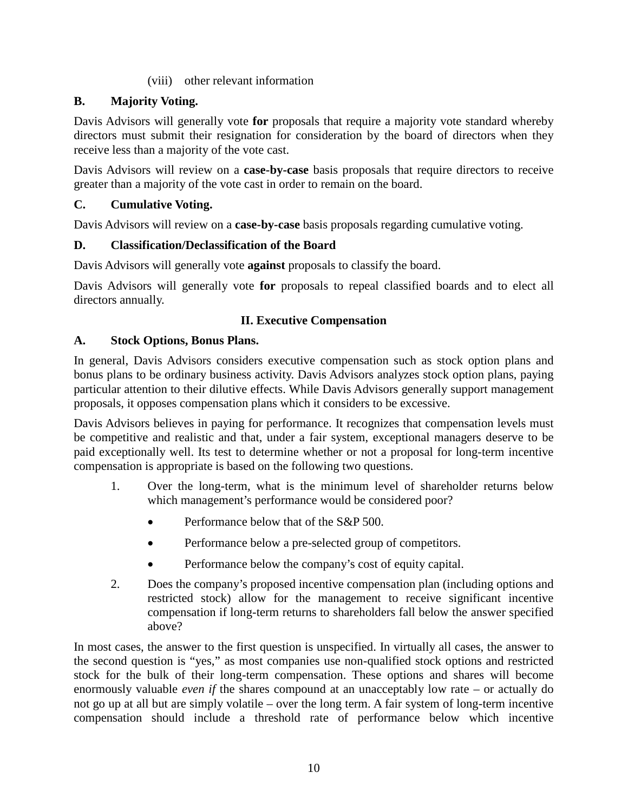#### (viii) other relevant information

## **B. Majority Voting.**

Davis Advisors will generally vote **for** proposals that require a majority vote standard whereby directors must submit their resignation for consideration by the board of directors when they receive less than a majority of the vote cast.

Davis Advisors will review on a **case-by-case** basis proposals that require directors to receive greater than a majority of the vote cast in order to remain on the board.

## **C. Cumulative Voting.**

Davis Advisors will review on a **case-by-case** basis proposals regarding cumulative voting.

### **D. Classification/Declassification of the Board**

Davis Advisors will generally vote **against** proposals to classify the board.

Davis Advisors will generally vote **for** proposals to repeal classified boards and to elect all directors annually.

### **II. Executive Compensation**

### **A. Stock Options, Bonus Plans.**

In general, Davis Advisors considers executive compensation such as stock option plans and bonus plans to be ordinary business activity. Davis Advisors analyzes stock option plans, paying particular attention to their dilutive effects. While Davis Advisors generally support management proposals, it opposes compensation plans which it considers to be excessive.

Davis Advisors believes in paying for performance. It recognizes that compensation levels must be competitive and realistic and that, under a fair system, exceptional managers deserve to be paid exceptionally well. Its test to determine whether or not a proposal for long-term incentive compensation is appropriate is based on the following two questions.

- 1. Over the long-term, what is the minimum level of shareholder returns below which management's performance would be considered poor?
	- Performance below that of the S&P 500.
	- Performance below a pre-selected group of competitors.
	- Performance below the company's cost of equity capital.
- 2. Does the company's proposed incentive compensation plan (including options and restricted stock) allow for the management to receive significant incentive compensation if long-term returns to shareholders fall below the answer specified above?

In most cases, the answer to the first question is unspecified. In virtually all cases, the answer to the second question is "yes," as most companies use non-qualified stock options and restricted stock for the bulk of their long-term compensation. These options and shares will become enormously valuable *even if* the shares compound at an unacceptably low rate – or actually do not go up at all but are simply volatile – over the long term. A fair system of long-term incentive compensation should include a threshold rate of performance below which incentive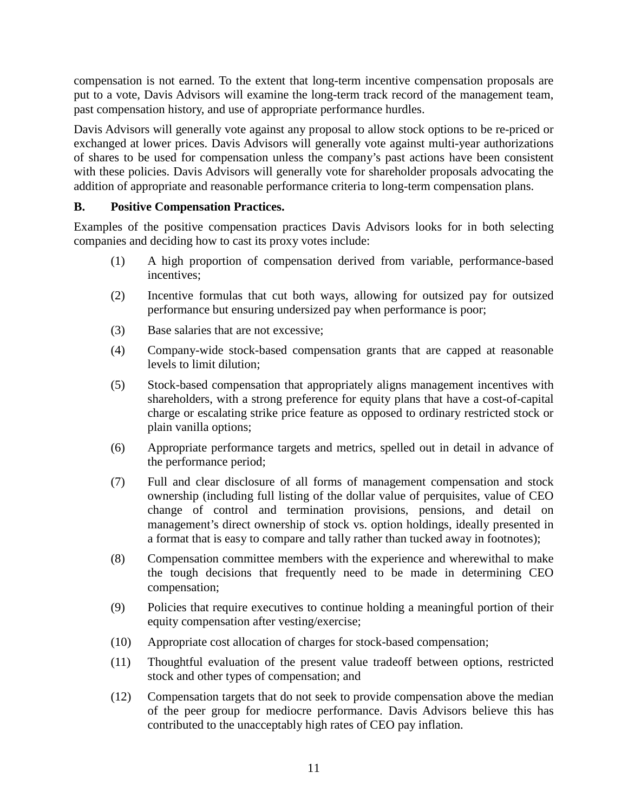compensation is not earned. To the extent that long-term incentive compensation proposals are put to a vote, Davis Advisors will examine the long-term track record of the management team, past compensation history, and use of appropriate performance hurdles.

Davis Advisors will generally vote against any proposal to allow stock options to be re-priced or exchanged at lower prices. Davis Advisors will generally vote against multi-year authorizations of shares to be used for compensation unless the company's past actions have been consistent with these policies. Davis Advisors will generally vote for shareholder proposals advocating the addition of appropriate and reasonable performance criteria to long-term compensation plans.

#### **B. Positive Compensation Practices.**

Examples of the positive compensation practices Davis Advisors looks for in both selecting companies and deciding how to cast its proxy votes include:

- (1) A high proportion of compensation derived from variable, performance-based incentives;
- (2) Incentive formulas that cut both ways, allowing for outsized pay for outsized performance but ensuring undersized pay when performance is poor;
- (3) Base salaries that are not excessive;
- (4) Company-wide stock-based compensation grants that are capped at reasonable levels to limit dilution;
- (5) Stock-based compensation that appropriately aligns management incentives with shareholders, with a strong preference for equity plans that have a cost-of-capital charge or escalating strike price feature as opposed to ordinary restricted stock or plain vanilla options;
- (6) Appropriate performance targets and metrics, spelled out in detail in advance of the performance period;
- (7) Full and clear disclosure of all forms of management compensation and stock ownership (including full listing of the dollar value of perquisites, value of CEO change of control and termination provisions, pensions, and detail on management's direct ownership of stock vs. option holdings, ideally presented in a format that is easy to compare and tally rather than tucked away in footnotes);
- (8) Compensation committee members with the experience and wherewithal to make the tough decisions that frequently need to be made in determining CEO compensation;
- (9) Policies that require executives to continue holding a meaningful portion of their equity compensation after vesting/exercise;
- (10) Appropriate cost allocation of charges for stock-based compensation;
- (11) Thoughtful evaluation of the present value tradeoff between options, restricted stock and other types of compensation; and
- (12) Compensation targets that do not seek to provide compensation above the median of the peer group for mediocre performance. Davis Advisors believe this has contributed to the unacceptably high rates of CEO pay inflation.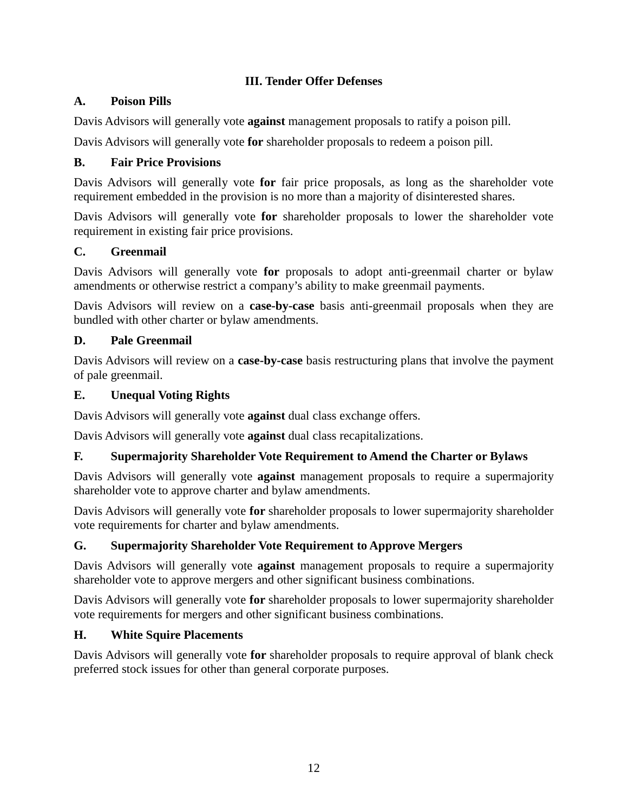### **III. Tender Offer Defenses**

### **A. Poison Pills**

Davis Advisors will generally vote **against** management proposals to ratify a poison pill.

Davis Advisors will generally vote **for** shareholder proposals to redeem a poison pill.

### **B. Fair Price Provisions**

Davis Advisors will generally vote **for** fair price proposals, as long as the shareholder vote requirement embedded in the provision is no more than a majority of disinterested shares.

Davis Advisors will generally vote **for** shareholder proposals to lower the shareholder vote requirement in existing fair price provisions.

#### **C. Greenmail**

Davis Advisors will generally vote **for** proposals to adopt anti-greenmail charter or bylaw amendments or otherwise restrict a company's ability to make greenmail payments.

Davis Advisors will review on a **case-by-case** basis anti-greenmail proposals when they are bundled with other charter or bylaw amendments.

### **D. Pale Greenmail**

Davis Advisors will review on a **case-by-case** basis restructuring plans that involve the payment of pale greenmail.

### **E. Unequal Voting Rights**

Davis Advisors will generally vote **against** dual class exchange offers.

Davis Advisors will generally vote **against** dual class recapitalizations.

#### **F. Supermajority Shareholder Vote Requirement to Amend the Charter or Bylaws**

Davis Advisors will generally vote **against** management proposals to require a supermajority shareholder vote to approve charter and bylaw amendments.

Davis Advisors will generally vote **for** shareholder proposals to lower supermajority shareholder vote requirements for charter and bylaw amendments.

# **G. Supermajority Shareholder Vote Requirement to Approve Mergers**

Davis Advisors will generally vote **against** management proposals to require a supermajority shareholder vote to approve mergers and other significant business combinations.

Davis Advisors will generally vote **for** shareholder proposals to lower supermajority shareholder vote requirements for mergers and other significant business combinations.

#### **H. White Squire Placements**

Davis Advisors will generally vote **for** shareholder proposals to require approval of blank check preferred stock issues for other than general corporate purposes.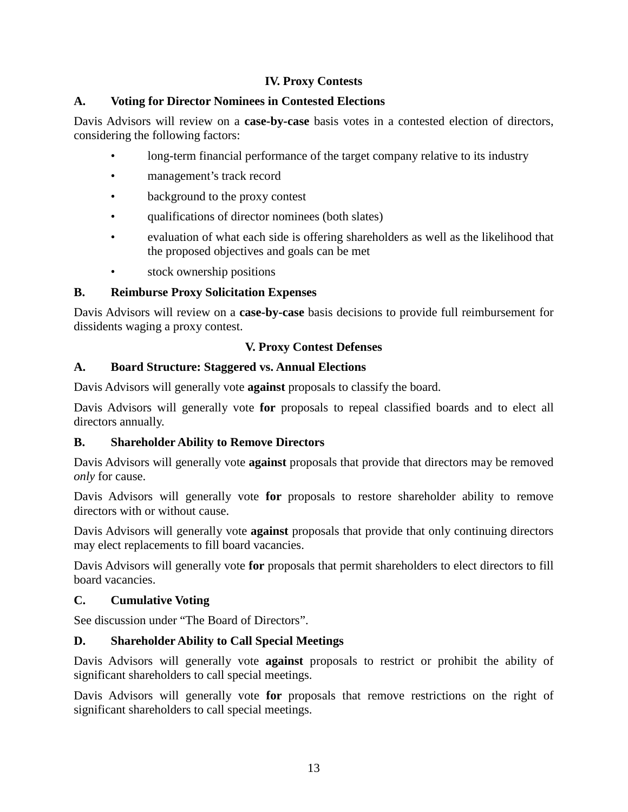## **IV. Proxy Contests**

### **A. Voting for Director Nominees in Contested Elections**

Davis Advisors will review on a **case-by-case** basis votes in a contested election of directors, considering the following factors:

- long-term financial performance of the target company relative to its industry
- management's track record
- background to the proxy contest
- qualifications of director nominees (both slates)
- evaluation of what each side is offering shareholders as well as the likelihood that the proposed objectives and goals can be met
- stock ownership positions

### **B. Reimburse Proxy Solicitation Expenses**

Davis Advisors will review on a **case-by-case** basis decisions to provide full reimbursement for dissidents waging a proxy contest.

### **V. Proxy Contest Defenses**

### **A. Board Structure: Staggered vs. Annual Elections**

Davis Advisors will generally vote **against** proposals to classify the board.

Davis Advisors will generally vote **for** proposals to repeal classified boards and to elect all directors annually.

#### **B. Shareholder Ability to Remove Directors**

Davis Advisors will generally vote **against** proposals that provide that directors may be removed *only* for cause.

Davis Advisors will generally vote **for** proposals to restore shareholder ability to remove directors with or without cause.

Davis Advisors will generally vote **against** proposals that provide that only continuing directors may elect replacements to fill board vacancies.

Davis Advisors will generally vote **for** proposals that permit shareholders to elect directors to fill board vacancies.

#### **C. Cumulative Voting**

See discussion under "The Board of Directors".

# **D. Shareholder Ability to Call Special Meetings**

Davis Advisors will generally vote **against** proposals to restrict or prohibit the ability of significant shareholders to call special meetings.

Davis Advisors will generally vote **for** proposals that remove restrictions on the right of significant shareholders to call special meetings.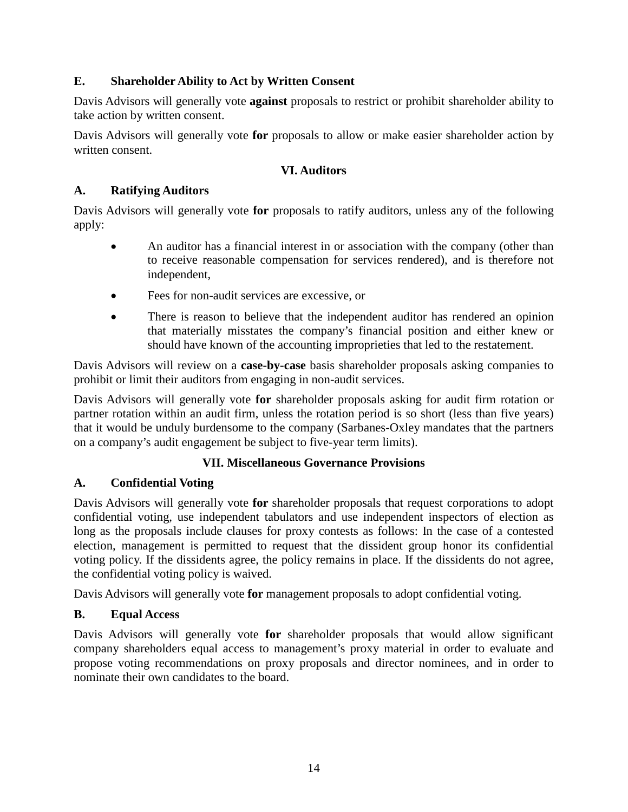### **E. Shareholder Ability to Act by Written Consent**

Davis Advisors will generally vote **against** proposals to restrict or prohibit shareholder ability to take action by written consent.

Davis Advisors will generally vote **for** proposals to allow or make easier shareholder action by written consent.

#### **VI. Auditors**

#### **A. Ratifying Auditors**

Davis Advisors will generally vote **for** proposals to ratify auditors, unless any of the following apply:

- An auditor has a financial interest in or association with the company (other than to receive reasonable compensation for services rendered), and is therefore not independent,
- Fees for non-audit services are excessive, or
- There is reason to believe that the independent auditor has rendered an opinion that materially misstates the company's financial position and either knew or should have known of the accounting improprieties that led to the restatement.

Davis Advisors will review on a **case-by-case** basis shareholder proposals asking companies to prohibit or limit their auditors from engaging in non-audit services.

Davis Advisors will generally vote **for** shareholder proposals asking for audit firm rotation or partner rotation within an audit firm, unless the rotation period is so short (less than five years) that it would be unduly burdensome to the company (Sarbanes-Oxley mandates that the partners on a company's audit engagement be subject to five-year term limits).

#### **VII. Miscellaneous Governance Provisions**

# **A. Confidential Voting**

Davis Advisors will generally vote **for** shareholder proposals that request corporations to adopt confidential voting, use independent tabulators and use independent inspectors of election as long as the proposals include clauses for proxy contests as follows: In the case of a contested election, management is permitted to request that the dissident group honor its confidential voting policy. If the dissidents agree, the policy remains in place. If the dissidents do not agree, the confidential voting policy is waived.

Davis Advisors will generally vote **for** management proposals to adopt confidential voting.

#### **B. Equal Access**

Davis Advisors will generally vote **for** shareholder proposals that would allow significant company shareholders equal access to management's proxy material in order to evaluate and propose voting recommendations on proxy proposals and director nominees, and in order to nominate their own candidates to the board.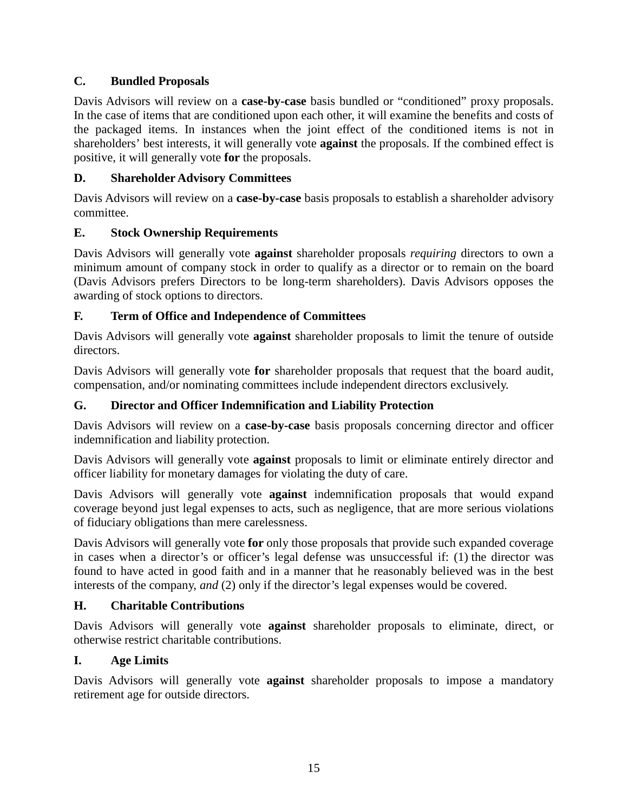# **C. Bundled Proposals**

Davis Advisors will review on a **case-by-case** basis bundled or "conditioned" proxy proposals. In the case of items that are conditioned upon each other, it will examine the benefits and costs of the packaged items. In instances when the joint effect of the conditioned items is not in shareholders' best interests, it will generally vote **against** the proposals. If the combined effect is positive, it will generally vote **for** the proposals.

### **D. Shareholder Advisory Committees**

Davis Advisors will review on a **case-by-case** basis proposals to establish a shareholder advisory committee.

### **E. Stock Ownership Requirements**

Davis Advisors will generally vote **against** shareholder proposals *requiring* directors to own a minimum amount of company stock in order to qualify as a director or to remain on the board (Davis Advisors prefers Directors to be long-term shareholders). Davis Advisors opposes the awarding of stock options to directors.

### **F. Term of Office and Independence of Committees**

Davis Advisors will generally vote **against** shareholder proposals to limit the tenure of outside directors.

Davis Advisors will generally vote **for** shareholder proposals that request that the board audit, compensation, and/or nominating committees include independent directors exclusively.

#### **G. Director and Officer Indemnification and Liability Protection**

Davis Advisors will review on a **case-by-case** basis proposals concerning director and officer indemnification and liability protection.

Davis Advisors will generally vote **against** proposals to limit or eliminate entirely director and officer liability for monetary damages for violating the duty of care.

Davis Advisors will generally vote **against** indemnification proposals that would expand coverage beyond just legal expenses to acts, such as negligence, that are more serious violations of fiduciary obligations than mere carelessness.

Davis Advisors will generally vote **for** only those proposals that provide such expanded coverage in cases when a director's or officer's legal defense was unsuccessful if: (1) the director was found to have acted in good faith and in a manner that he reasonably believed was in the best interests of the company, *and* (2) only if the director's legal expenses would be covered.

#### **H. Charitable Contributions**

Davis Advisors will generally vote **against** shareholder proposals to eliminate, direct, or otherwise restrict charitable contributions.

#### **I. Age Limits**

Davis Advisors will generally vote **against** shareholder proposals to impose a mandatory retirement age for outside directors.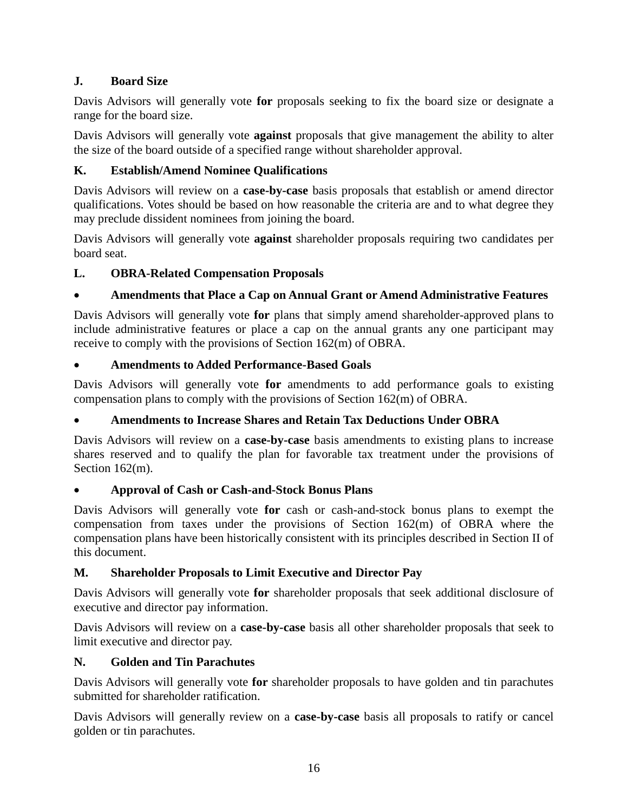# **J. Board Size**

Davis Advisors will generally vote **for** proposals seeking to fix the board size or designate a range for the board size.

Davis Advisors will generally vote **against** proposals that give management the ability to alter the size of the board outside of a specified range without shareholder approval.

# **K. Establish/Amend Nominee Qualifications**

Davis Advisors will review on a **case-by-case** basis proposals that establish or amend director qualifications. Votes should be based on how reasonable the criteria are and to what degree they may preclude dissident nominees from joining the board.

Davis Advisors will generally vote **against** shareholder proposals requiring two candidates per board seat.

# **L. OBRA-Related Compensation Proposals**

# • **Amendments that Place a Cap on Annual Grant or Amend Administrative Features**

Davis Advisors will generally vote **for** plans that simply amend shareholder-approved plans to include administrative features or place a cap on the annual grants any one participant may receive to comply with the provisions of Section 162(m) of OBRA.

# • **Amendments to Added Performance-Based Goals**

Davis Advisors will generally vote **for** amendments to add performance goals to existing compensation plans to comply with the provisions of Section 162(m) of OBRA.

# • **Amendments to Increase Shares and Retain Tax Deductions Under OBRA**

Davis Advisors will review on a **case-by-case** basis amendments to existing plans to increase shares reserved and to qualify the plan for favorable tax treatment under the provisions of Section 162(m).

# • **Approval of Cash or Cash-and-Stock Bonus Plans**

Davis Advisors will generally vote **for** cash or cash-and-stock bonus plans to exempt the compensation from taxes under the provisions of Section 162(m) of OBRA where the compensation plans have been historically consistent with its principles described in Section II of this document.

# **M. Shareholder Proposals to Limit Executive and Director Pay**

Davis Advisors will generally vote **for** shareholder proposals that seek additional disclosure of executive and director pay information.

Davis Advisors will review on a **case-by-case** basis all other shareholder proposals that seek to limit executive and director pay.

# **N. Golden and Tin Parachutes**

Davis Advisors will generally vote **for** shareholder proposals to have golden and tin parachutes submitted for shareholder ratification.

Davis Advisors will generally review on a **case-by-case** basis all proposals to ratify or cancel golden or tin parachutes.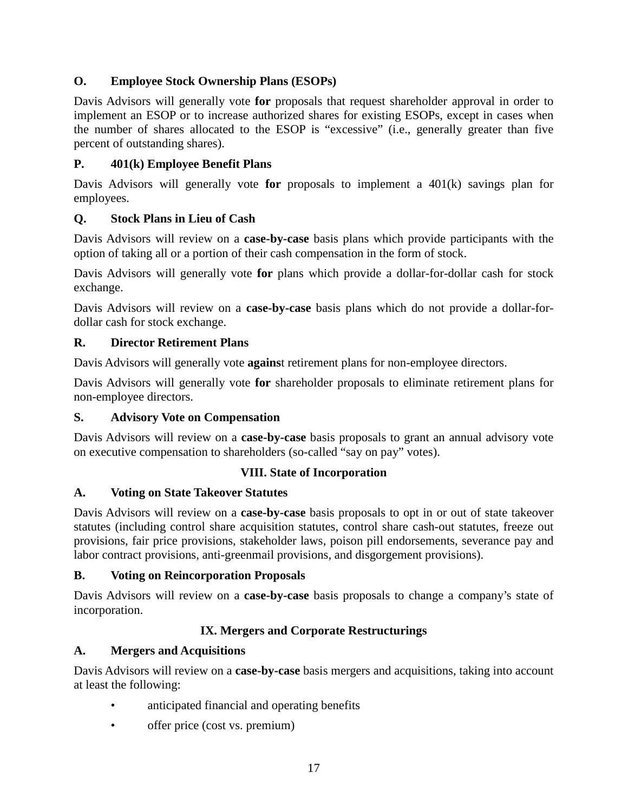# **O. Employee Stock Ownership Plans (ESOPs)**

Davis Advisors will generally vote **for** proposals that request shareholder approval in order to implement an ESOP or to increase authorized shares for existing ESOPs, except in cases when the number of shares allocated to the ESOP is "excessive" (i.e., generally greater than five percent of outstanding shares).

# **P. 401(k) Employee Benefit Plans**

Davis Advisors will generally vote **for** proposals to implement a 401(k) savings plan for employees.

### **Q. Stock Plans in Lieu of Cash**

Davis Advisors will review on a **case-by-case** basis plans which provide participants with the option of taking all or a portion of their cash compensation in the form of stock.

Davis Advisors will generally vote **for** plans which provide a dollar-for-dollar cash for stock exchange.

Davis Advisors will review on a **case-by-case** basis plans which do not provide a dollar-fordollar cash for stock exchange.

### **R. Director Retirement Plans**

Davis Advisors will generally vote **agains**t retirement plans for non-employee directors.

Davis Advisors will generally vote **for** shareholder proposals to eliminate retirement plans for non-employee directors.

#### **S. Advisory Vote on Compensation**

Davis Advisors will review on a **case-by-case** basis proposals to grant an annual advisory vote on executive compensation to shareholders (so-called "say on pay" votes).

#### **VIII. State of Incorporation**

# **A. Voting on State Takeover Statutes**

Davis Advisors will review on a **case-by-case** basis proposals to opt in or out of state takeover statutes (including control share acquisition statutes, control share cash-out statutes, freeze out provisions, fair price provisions, stakeholder laws, poison pill endorsements, severance pay and labor contract provisions, anti-greenmail provisions, and disgorgement provisions).

#### **B. Voting on Reincorporation Proposals**

Davis Advisors will review on a **case-by-case** basis proposals to change a company's state of incorporation.

# **IX. Mergers and Corporate Restructurings**

#### **A. Mergers and Acquisitions**

Davis Advisors will review on a **case-by-case** basis mergers and acquisitions, taking into account at least the following:

- anticipated financial and operating benefits
- offer price (cost vs. premium)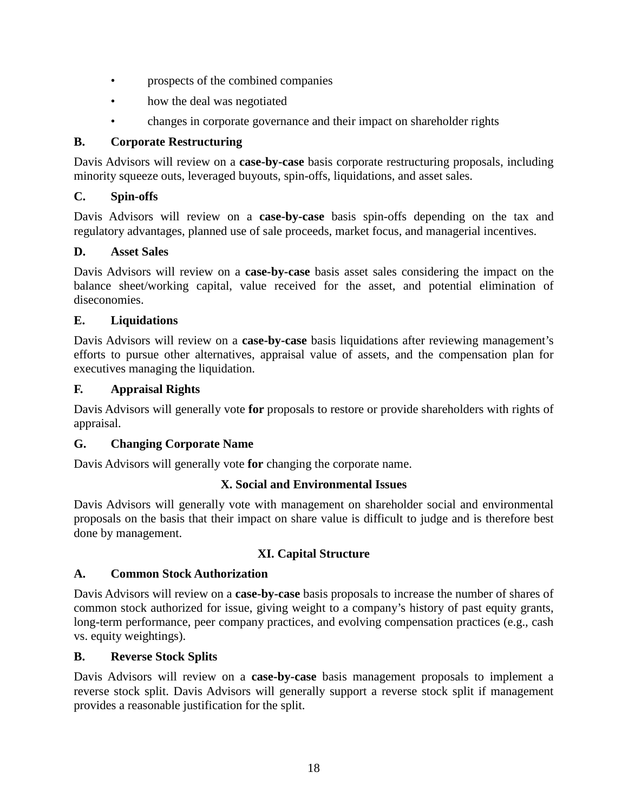- prospects of the combined companies
- how the deal was negotiated
- changes in corporate governance and their impact on shareholder rights

### **B. Corporate Restructuring**

Davis Advisors will review on a **case-by-case** basis corporate restructuring proposals, including minority squeeze outs, leveraged buyouts, spin-offs, liquidations, and asset sales.

### **C. Spin-offs**

Davis Advisors will review on a **case-by-case** basis spin-offs depending on the tax and regulatory advantages, planned use of sale proceeds, market focus, and managerial incentives.

### **D. Asset Sales**

Davis Advisors will review on a **case-by-case** basis asset sales considering the impact on the balance sheet/working capital, value received for the asset, and potential elimination of diseconomies.

### **E. Liquidations**

Davis Advisors will review on a **case-by-case** basis liquidations after reviewing management's efforts to pursue other alternatives, appraisal value of assets, and the compensation plan for executives managing the liquidation.

#### **F. Appraisal Rights**

Davis Advisors will generally vote **for** proposals to restore or provide shareholders with rights of appraisal.

#### **G. Changing Corporate Name**

Davis Advisors will generally vote **for** changing the corporate name.

# **X. Social and Environmental Issues**

Davis Advisors will generally vote with management on shareholder social and environmental proposals on the basis that their impact on share value is difficult to judge and is therefore best done by management.

# **XI. Capital Structure**

#### **A. Common Stock Authorization**

Davis Advisors will review on a **case-by-case** basis proposals to increase the number of shares of common stock authorized for issue, giving weight to a company's history of past equity grants, long-term performance, peer company practices, and evolving compensation practices (e.g., cash vs. equity weightings).

#### **B. Reverse Stock Splits**

Davis Advisors will review on a **case-by-case** basis management proposals to implement a reverse stock split. Davis Advisors will generally support a reverse stock split if management provides a reasonable justification for the split.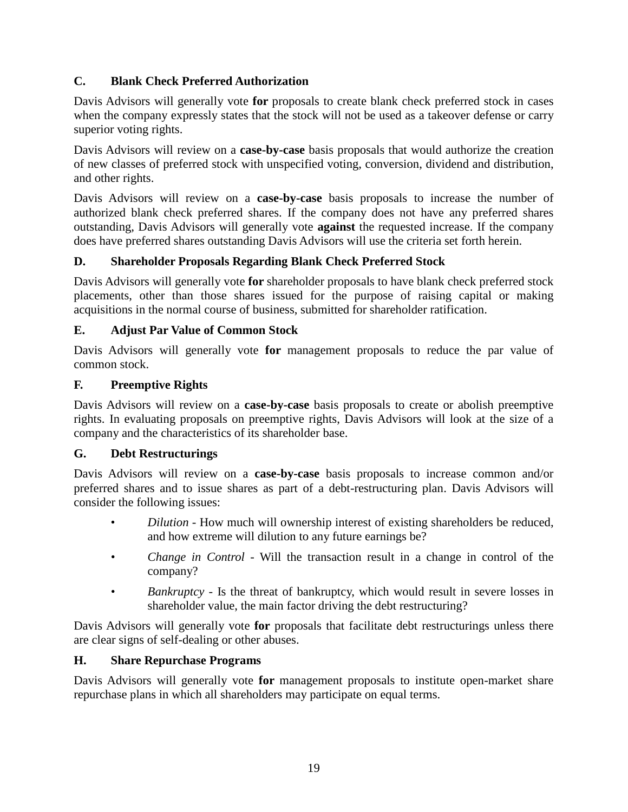# **C. Blank Check Preferred Authorization**

Davis Advisors will generally vote **for** proposals to create blank check preferred stock in cases when the company expressly states that the stock will not be used as a takeover defense or carry superior voting rights.

Davis Advisors will review on a **case-by-case** basis proposals that would authorize the creation of new classes of preferred stock with unspecified voting, conversion, dividend and distribution, and other rights.

Davis Advisors will review on a **case-by-case** basis proposals to increase the number of authorized blank check preferred shares. If the company does not have any preferred shares outstanding, Davis Advisors will generally vote **against** the requested increase. If the company does have preferred shares outstanding Davis Advisors will use the criteria set forth herein.

# **D. Shareholder Proposals Regarding Blank Check Preferred Stock**

Davis Advisors will generally vote **for** shareholder proposals to have blank check preferred stock placements, other than those shares issued for the purpose of raising capital or making acquisitions in the normal course of business, submitted for shareholder ratification.

# **E. Adjust Par Value of Common Stock**

Davis Advisors will generally vote **for** management proposals to reduce the par value of common stock.

# **F. Preemptive Rights**

Davis Advisors will review on a **case-by-case** basis proposals to create or abolish preemptive rights. In evaluating proposals on preemptive rights, Davis Advisors will look at the size of a company and the characteristics of its shareholder base.

# **G. Debt Restructurings**

Davis Advisors will review on a **case-by-case** basis proposals to increase common and/or preferred shares and to issue shares as part of a debt-restructuring plan. Davis Advisors will consider the following issues:

- *Dilution* How much will ownership interest of existing shareholders be reduced, and how extreme will dilution to any future earnings be?
- *• Change in Control* Will the transaction result in a change in control of the company?
- *• Bankruptcy* Is the threat of bankruptcy, which would result in severe losses in shareholder value, the main factor driving the debt restructuring?

Davis Advisors will generally vote **for** proposals that facilitate debt restructurings unless there are clear signs of self-dealing or other abuses.

# **H. Share Repurchase Programs**

Davis Advisors will generally vote **for** management proposals to institute open-market share repurchase plans in which all shareholders may participate on equal terms.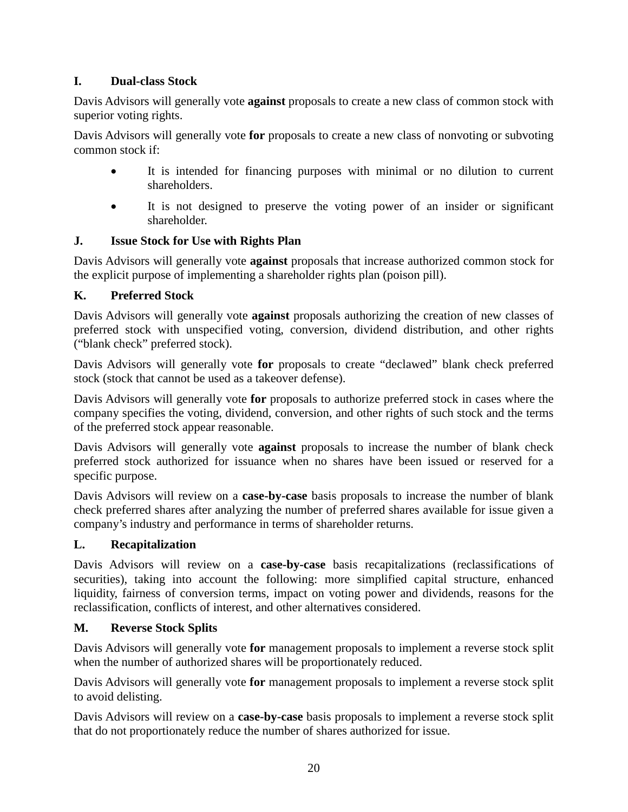# **I. Dual-class Stock**

Davis Advisors will generally vote **against** proposals to create a new class of common stock with superior voting rights.

Davis Advisors will generally vote **for** proposals to create a new class of nonvoting or subvoting common stock if:

- It is intended for financing purposes with minimal or no dilution to current shareholders.
- It is not designed to preserve the voting power of an insider or significant shareholder.

# **J. Issue Stock for Use with Rights Plan**

Davis Advisors will generally vote **against** proposals that increase authorized common stock for the explicit purpose of implementing a shareholder rights plan (poison pill).

# **K. Preferred Stock**

Davis Advisors will generally vote **against** proposals authorizing the creation of new classes of preferred stock with unspecified voting, conversion, dividend distribution, and other rights ("blank check" preferred stock).

Davis Advisors will generally vote **for** proposals to create "declawed" blank check preferred stock (stock that cannot be used as a takeover defense).

Davis Advisors will generally vote **for** proposals to authorize preferred stock in cases where the company specifies the voting, dividend, conversion, and other rights of such stock and the terms of the preferred stock appear reasonable.

Davis Advisors will generally vote **against** proposals to increase the number of blank check preferred stock authorized for issuance when no shares have been issued or reserved for a specific purpose.

Davis Advisors will review on a **case-by-case** basis proposals to increase the number of blank check preferred shares after analyzing the number of preferred shares available for issue given a company's industry and performance in terms of shareholder returns.

# **L. Recapitalization**

Davis Advisors will review on a **case-by-case** basis recapitalizations (reclassifications of securities), taking into account the following: more simplified capital structure, enhanced liquidity, fairness of conversion terms, impact on voting power and dividends, reasons for the reclassification, conflicts of interest, and other alternatives considered.

# **M. Reverse Stock Splits**

Davis Advisors will generally vote **for** management proposals to implement a reverse stock split when the number of authorized shares will be proportionately reduced.

Davis Advisors will generally vote **for** management proposals to implement a reverse stock split to avoid delisting.

Davis Advisors will review on a **case-by-case** basis proposals to implement a reverse stock split that do not proportionately reduce the number of shares authorized for issue.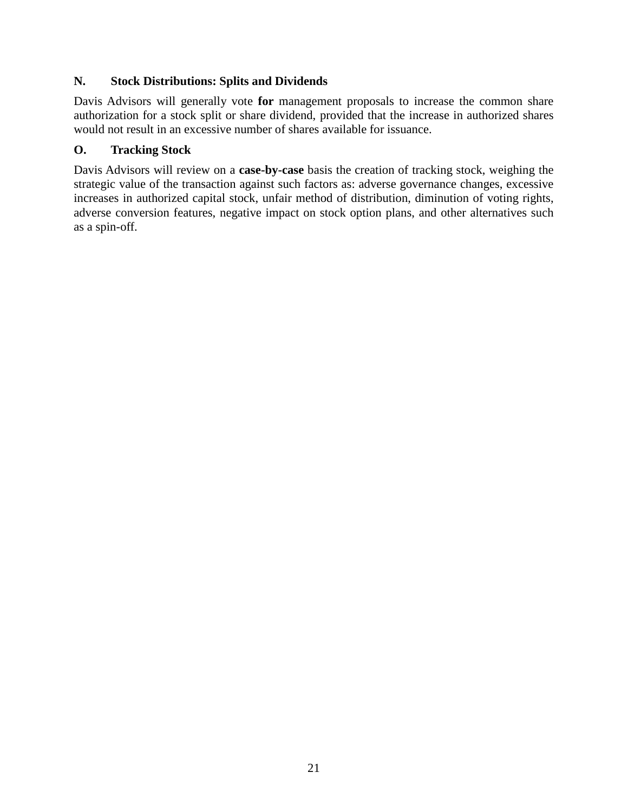### **N. Stock Distributions: Splits and Dividends**

Davis Advisors will generally vote **for** management proposals to increase the common share authorization for a stock split or share dividend, provided that the increase in authorized shares would not result in an excessive number of shares available for issuance.

### **O. Tracking Stock**

Davis Advisors will review on a **case-by-case** basis the creation of tracking stock, weighing the strategic value of the transaction against such factors as: adverse governance changes, excessive increases in authorized capital stock, unfair method of distribution, diminution of voting rights, adverse conversion features, negative impact on stock option plans, and other alternatives such as a spin-off.